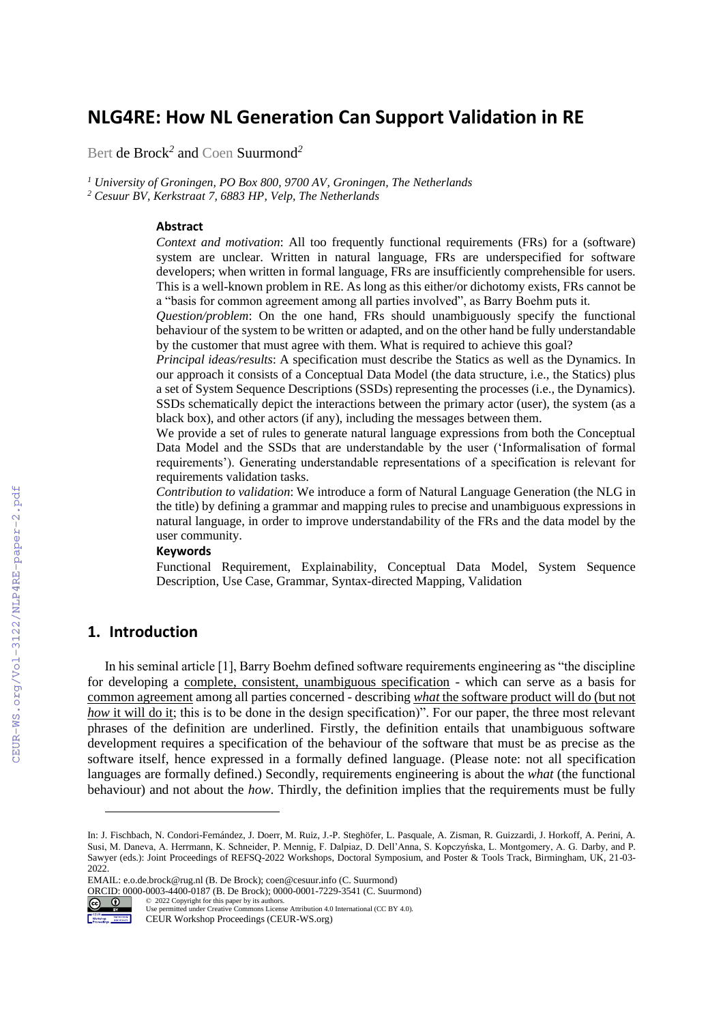# **NLG4RE: How NL Generation Can Support Validation in RE**

Bert de Brock*<sup>2</sup>* and Coen Suurmond*<sup>2</sup>*

*<sup>1</sup> University of Groningen, PO Box 800, 9700 AV, Groningen, The Netherlands <sup>2</sup> Cesuur BV, Kerkstraat 7, 6883 HP, Velp, The Netherlands*

### **Abstract**

*Context and motivation*: All too frequently functional requirements (FRs) for a (software) system are unclear. Written in natural language, FRs are underspecified for software developers; when written in formal language, FRs are insufficiently comprehensible for users. This is a well-known problem in RE. As long as this either/or dichotomy exists, FRs cannot be a "basis for common agreement among all parties involved", as Barry Boehm puts it.

*Question/problem*: On the one hand, FRs should unambiguously specify the functional behaviour of the system to be written or adapted, and on the other hand be fully understandable by the customer that must agree with them. What is required to achieve this goal?

*Principal ideas/results*: A specification must describe the Statics as well as the Dynamics. In our approach it consists of a Conceptual Data Model (the data structure, i.e., the Statics) plus a set of System Sequence Descriptions (SSDs) representing the processes (i.e., the Dynamics). SSDs schematically depict the interactions between the primary actor (user), the system (as a black box), and other actors (if any), including the messages between them.

We provide a set of rules to generate natural language expressions from both the Conceptual Data Model and the SSDs that are understandable by the user ('Informalisation of formal requirements'). Generating understandable representations of a specification is relevant for requirements validation tasks.

*Contribution to validation*: We introduce a form of Natural Language Generation (the NLG in the title) by defining a grammar and mapping rules to precise and unambiguous expressions in natural language, in order to improve understandability of the FRs and the data model by the user community.

#### **Keywords 2**

Functional Requirement, Explainability, Conceptual Data Model, System Sequence Description, Use Case, Grammar, Syntax-directed Mapping, Validation

# **1. Introduction**

In his seminal article [1], Barry Boehm defined software requirements engineering as "the discipline for developing a complete, consistent, unambiguous specification - which can serve as a basis for common agreement among all parties concerned - describing *what* the software product will do (but not *how* it will do it; this is to be done in the design specification)". For our paper, the three most relevant phrases of the definition are underlined. Firstly, the definition entails that unambiguous software development requires a specification of the behaviour of the software that must be as precise as the software itself, hence expressed in a formally defined language. (Please note: not all specification languages are formally defined.) Secondly, requirements engineering is about the *what* (the functional behaviour) and not about the *how*. Thirdly, the definition implies that the requirements must be fully

EMAIL: e.o.de.brock@rug.nl (B. De Brock); coen@cesuur.info (C. Suurmond)

ORCID: 0000-0003-4400-0187 (B. De Brock); 0000-0001-7229-3541 (C. Suurmond)<br>  $\odot$  O 2022 Copyright for this paper by its authors.<br>
Use permitted under Creative Commons License Attribution 4.0 International (CC BY 4.0) ©️ 2022 Copyright for this paper by its authors.



Use permitted under Creative Commons License Attribution 4.0 International (CC BY 4.0).

CEUR Workshop Proceedings (CEUR-WS.org)

In: J. Fischbach, N. Condori-Fernández, J. Doerr, M. Ruiz, J.-P. Steghöfer, L. Pasquale, A. Zisman, R. Guizzardi, J. Horkoff, A. Perini, A. Susi, M. Daneva, A. Herrmann, K. Schneider, P. Mennig, F. Dalpiaz, D. Dell'Anna, S. Kopczyńska, L. Montgomery, A. G. Darby, and P. Sawyer (eds.): Joint Proceedings of REFSQ-2022 Workshops, Doctoral Symposium, and Poster & Tools Track, Birmingham, UK, 21-03- 2022.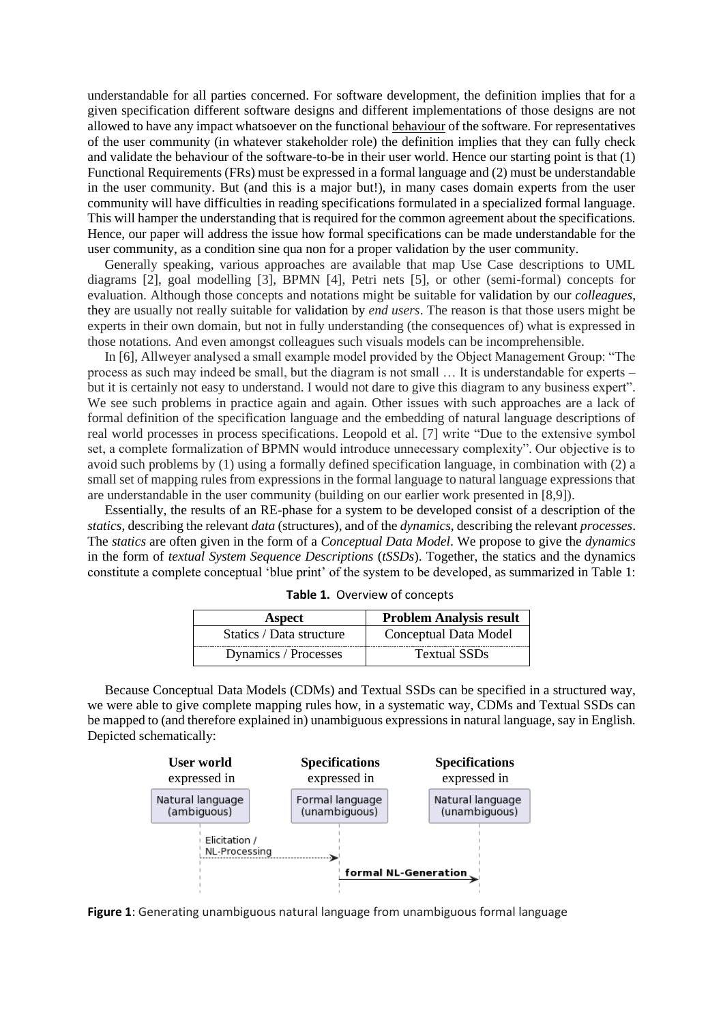understandable for all parties concerned. For software development, the definition implies that for a given specification different software designs and different implementations of those designs are not allowed to have any impact whatsoever on the functional behaviour of the software. For representatives of the user community (in whatever stakeholder role) the definition implies that they can fully check and validate the behaviour of the software-to-be in their user world. Hence our starting point is that (1) Functional Requirements (FRs) must be expressed in a formal language and (2) must be understandable in the user community. But (and this is a major but!), in many cases domain experts from the user community will have difficulties in reading specifications formulated in a specialized formal language. This will hamper the understanding that is required for the common agreement about the specifications. Hence, our paper will address the issue how formal specifications can be made understandable for the user community, as a condition sine qua non for a proper validation by the user community.

Generally speaking, various approaches are available that map Use Case descriptions to UML diagrams [2], goal modelling [3], BPMN [4], Petri nets [5], or other (semi-formal) concepts for evaluation. Although those concepts and notations might be suitable for validation by our *colleagues*, they are usually not really suitable for validation by *end users*. The reason is that those users might be experts in their own domain, but not in fully understanding (the consequences of) what is expressed in those notations. And even amongst colleagues such visuals models can be incomprehensible.

In [6], Allweyer analysed a small example model provided by the Object Management Group: "The process as such may indeed be small, but the diagram is not small … It is understandable for experts – but it is certainly not easy to understand. I would not dare to give this diagram to any business expert". We see such problems in practice again and again. Other issues with such approaches are a lack of formal definition of the specification language and the embedding of natural language descriptions of real world processes in process specifications. Leopold et al. [7] write "Due to the extensive symbol set, a complete formalization of BPMN would introduce unnecessary complexity". Our objective is to avoid such problems by (1) using a formally defined specification language, in combination with (2) a small set of mapping rules from expressions in the formal language to natural language expressions that are understandable in the user community (building on our earlier work presented in [8,9]).

Essentially, the results of an RE-phase for a system to be developed consist of a description of the *statics*, describing the relevant *data* (structures), and of the *dynamics*, describing the relevant *processes*. The *statics* are often given in the form of a *Conceptual Data Model*. We propose to give the *dynamics* in the form of *textual System Sequence Descriptions* (*tSSDs*). Together, the statics and the dynamics constitute a complete conceptual 'blue print' of the system to be developed, as summarized in Table 1:

| <b>Aspect</b>            | <b>Problem Analysis result</b> |  |
|--------------------------|--------------------------------|--|
| Statics / Data structure | Conceptual Data Model          |  |
| Dynamics / Processes     | <b>Textual SSDs</b>            |  |

**Table 1.** Overview of concepts

Because Conceptual Data Models (CDMs) and Textual SSDs can be specified in a structured way, we were able to give complete mapping rules how, in a systematic way, CDMs and Textual SSDs can be mapped to (and therefore explained in) unambiguous expressions in natural language, say in English. Depicted schematically:



**Figure 1**: Generating unambiguous natural language from unambiguous formal language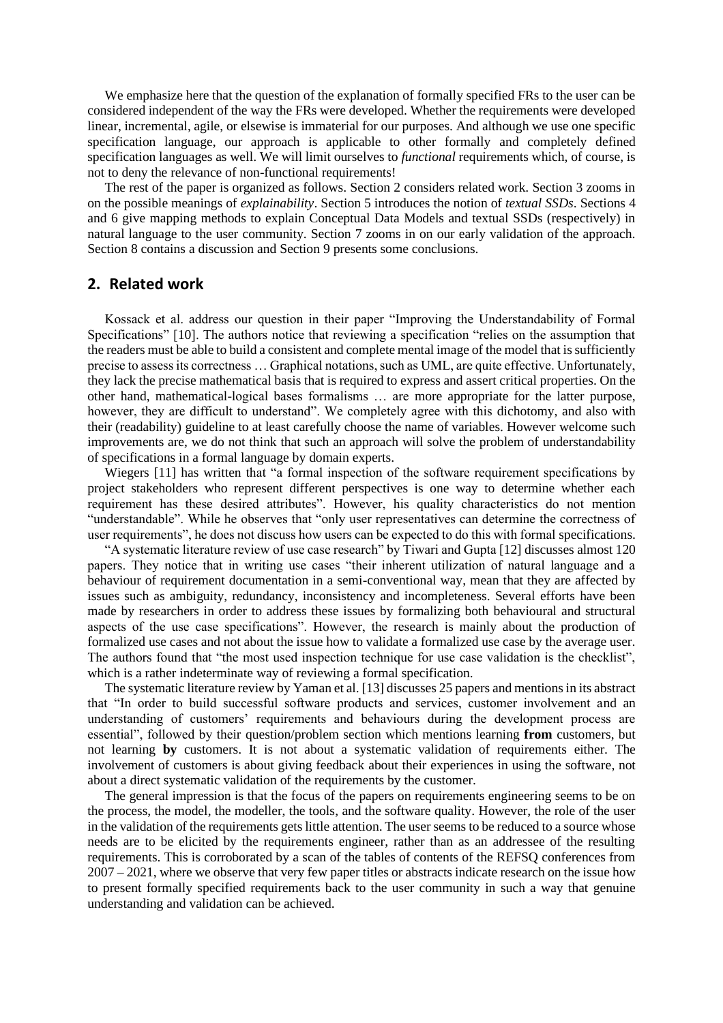We emphasize here that the question of the explanation of formally specified FRs to the user can be considered independent of the way the FRs were developed. Whether the requirements were developed linear, incremental, agile, or elsewise is immaterial for our purposes. And although we use one specific specification language, our approach is applicable to other formally and completely defined specification languages as well. We will limit ourselves to *functional* requirements which, of course, is not to deny the relevance of non-functional requirements!

The rest of the paper is organized as follows. Section 2 considers related work. Section 3 zooms in on the possible meanings of *explainability*. Section 5 introduces the notion of *textual SSDs*. Sections 4 and 6 give mapping methods to explain Conceptual Data Models and textual SSDs (respectively) in natural language to the user community. Section 7 zooms in on our early validation of the approach. Section 8 contains a discussion and Section 9 presents some conclusions.

### **2. Related work**

Kossack et al. address our question in their paper "Improving the Understandability of Formal Specifications" [10]. The authors notice that reviewing a specification "relies on the assumption that the readers must be able to build a consistent and complete mental image of the model that is sufficiently precise to assess its correctness … Graphical notations, such as UML, are quite effective. Unfortunately, they lack the precise mathematical basis that is required to express and assert critical properties. On the other hand, mathematical-logical bases formalisms … are more appropriate for the latter purpose, however, they are difficult to understand". We completely agree with this dichotomy, and also with their (readability) guideline to at least carefully choose the name of variables. However welcome such improvements are, we do not think that such an approach will solve the problem of understandability of specifications in a formal language by domain experts.

Wiegers [11] has written that "a formal inspection of the software requirement specifications by project stakeholders who represent different perspectives is one way to determine whether each requirement has these desired attributes". However, his quality characteristics do not mention "understandable". While he observes that "only user representatives can determine the correctness of user requirements", he does not discuss how users can be expected to do this with formal specifications.

"A systematic literature review of use case research" by Tiwari and Gupta [12] discusses almost 120 papers. They notice that in writing use cases "their inherent utilization of natural language and a behaviour of requirement documentation in a semi-conventional way, mean that they are affected by issues such as ambiguity, redundancy, inconsistency and incompleteness. Several efforts have been made by researchers in order to address these issues by formalizing both behavioural and structural aspects of the use case specifications". However, the research is mainly about the production of formalized use cases and not about the issue how to validate a formalized use case by the average user. The authors found that "the most used inspection technique for use case validation is the checklist", which is a rather indeterminate way of reviewing a formal specification.

The systematic literature review by Yaman et al. [13] discusses 25 papers and mentions in its abstract that "In order to build successful software products and services, customer involvement and an understanding of customers' requirements and behaviours during the development process are essential", followed by their question/problem section which mentions learning **from** customers, but not learning **by** customers. It is not about a systematic validation of requirements either. The involvement of customers is about giving feedback about their experiences in using the software, not about a direct systematic validation of the requirements by the customer.

The general impression is that the focus of the papers on requirements engineering seems to be on the process, the model, the modeller, the tools, and the software quality. However, the role of the user in the validation of the requirements gets little attention. The user seems to be reduced to a source whose needs are to be elicited by the requirements engineer, rather than as an addressee of the resulting requirements. This is corroborated by a scan of the tables of contents of the REFSQ conferences from 2007 – 2021, where we observe that very few paper titles or abstracts indicate research on the issue how to present formally specified requirements back to the user community in such a way that genuine understanding and validation can be achieved.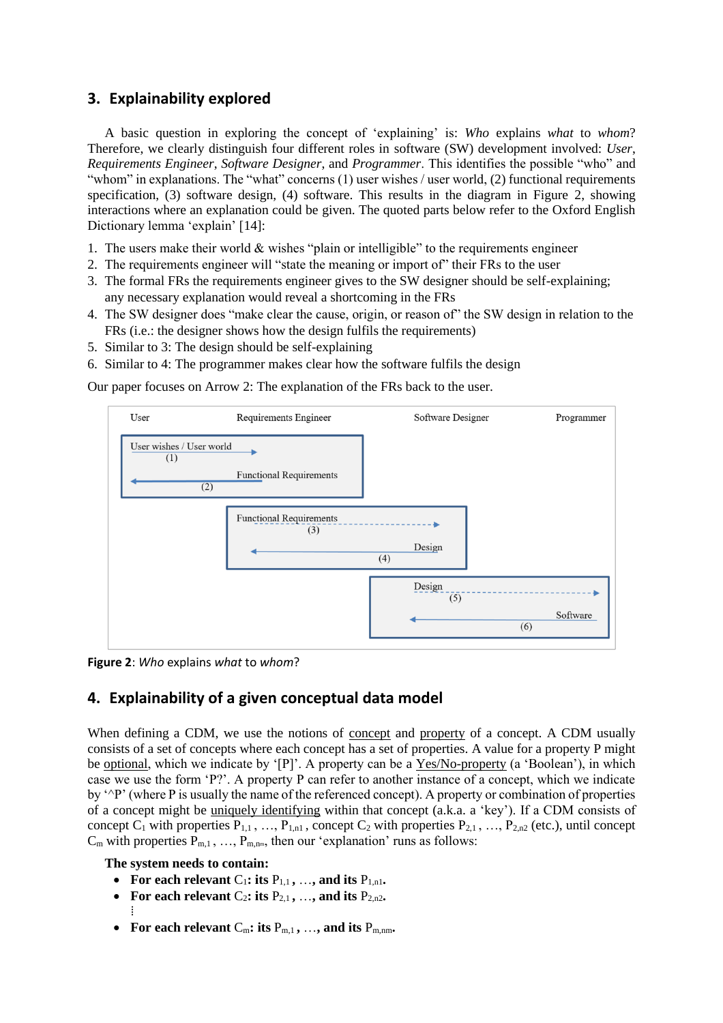# **3. Explainability explored**

A basic question in exploring the concept of 'explaining' is: *Who* explains *what* to *whom*? Therefore, we clearly distinguish four different roles in software (SW) development involved: *User*, *Requirements Engineer*, *Software Designer*, and *Programmer*. This identifies the possible "who" and "whom" in explanations. The "what" concerns (1) user wishes / user world, (2) functional requirements specification, (3) software design, (4) software. This results in the diagram in Figure 2, showing interactions where an explanation could be given. The quoted parts below refer to the Oxford English Dictionary lemma 'explain' [14]:

- 1. The users make their world  $&$  wishes "plain or intelligible" to the requirements engineer
- 2. The requirements engineer will "state the meaning or import of" their FRs to the user
- 3. The formal FRs the requirements engineer gives to the SW designer should be self-explaining; any necessary explanation would reveal a shortcoming in the FRs
- 4. The SW designer does "make clear the cause, origin, or reason of" the SW design in relation to the FRs (i.e.: the designer shows how the design fulfils the requirements)
- 5. Similar to 3: The design should be self-explaining
- 6. Similar to 4: The programmer makes clear how the software fulfils the design

Our paper focuses on Arrow 2: The explanation of the FRs back to the user.



**Figure 2**: *Who* explains *what* to *whom*?

# **4. Explainability of a given conceptual data model**

When defining a CDM, we use the notions of concept and property of a concept. A CDM usually consists of a set of concepts where each concept has a set of properties. A value for a property P might be optional, which we indicate by '[P]'. A property can be a Yes/No-property (a 'Boolean'), in which case we use the form 'P?'. A property P can refer to another instance of a concept, which we indicate by '^P' (where P is usually the name of the referenced concept). A property or combination of properties of a concept might be uniquely identifying within that concept (a.k.a. a 'key'). If a CDM consists of concept  $C_1$  with properties  $P_{1,1}$ , …,  $P_{1,n1}$ , concept  $C_2$  with properties  $P_{2,1}$ , …,  $P_{2,n2}$  (etc.), until concept  $C_m$  with properties  $P_{m,1}, \ldots, P_{m,nm}$ , then our 'explanation' runs as follows:

**The system needs to contain:**

 $\vdots$ 

- For each relevant  $C_1$ : its  $P_{1,1}$ , ..., and its  $P_{1,n1}$ .
- For each relevant  $C_2$ **: its**  $P_{2,1}$ , ..., and its  $P_{2,n2}$ .
- For each relevant  $C_m$ : its  $P_{m,1}$ , ..., and its  $P_{m,nm}$ .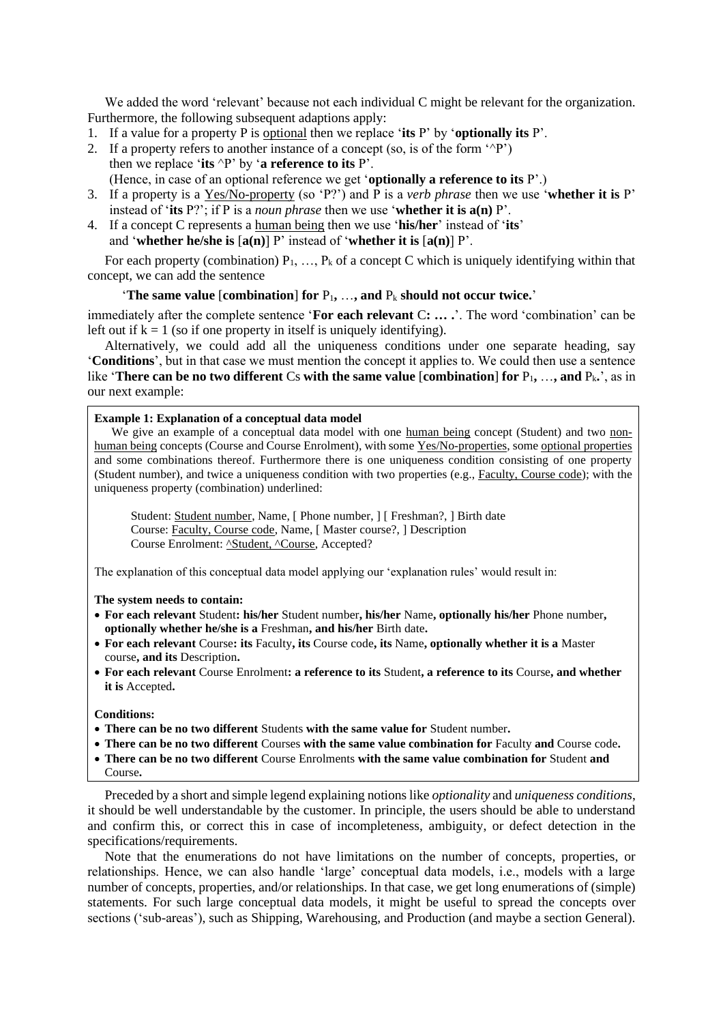We added the word 'relevant' because not each individual C might be relevant for the organization. Furthermore, the following subsequent adaptions apply:

- 1. If a value for a property P is optional then we replace '**its** P' by '**optionally its** P'.
- 2. If a property refers to another instance of a concept (so, is of the form  $\lq P$ ) then we replace '**its** ^P' by '**a reference to its** P'.
	- (Hence, in case of an optional reference we get '**optionally a reference to its** P'.)
- 3. If a property is a Yes/No-property (so 'P?') and P is a *verb phrase* then we use '**whether it is** P' instead of '**its** P?'; if P is a *noun phrase* then we use '**whether it is a(n)** P'.
- 4. If a concept C represents a human being then we use '**his/her**' instead of '**its**' and '**whether he/she is** [**a(n)**] P' instead of '**whether it is** [**a(n)**] P'.

For each property (combination)  $P_1, \ldots, P_k$  of a concept C which is uniquely identifying within that concept, we can add the sentence

#### 'The same value  $[combination]$  for  $P_1, \ldots,$  and  $P_k$  should not occur twice.'

immediately after the complete sentence '**For each relevant** C**: … .**'. The word 'combination' can be left out if  $k = 1$  (so if one property in itself is uniquely identifying).

Alternatively, we could add all the uniqueness conditions under one separate heading, say '**Conditions**', but in that case we must mention the concept it applies to. We could then use a sentence like **'There can be no two different** Cs **with the same value** [**combination**] **for**  $P_1$ , ..., and  $P_k$ ,', as in our next example:

#### **Example 1: Explanation of a conceptual data model**

We give an example of a conceptual data model with one human being concept (Student) and two nonhuman being concepts (Course and Course Enrolment), with some Yes/No-properties, some optional properties and some combinations thereof. Furthermore there is one uniqueness condition consisting of one property (Student number), and twice a uniqueness condition with two properties (e.g., Faculty, Course code); with the uniqueness property (combination) underlined:

Student: Student number, Name, [ Phone number, ] [ Freshman?, ] Birth date Course: Faculty, Course code, Name, [ Master course?, ] Description Course Enrolment: <u>^Student, ^Course</u>, Accepted?

The explanation of this conceptual data model applying our 'explanation rules' would result in:

#### **The system needs to contain:**

- **For each relevant** Student**: his/her** Student number**, his/her** Name**, optionally his/her** Phone number**, optionally whether he/she is a** Freshman**, and his/her** Birth date**.**
- **For each relevant** Course**: its** Faculty**, its** Course code**, its** Name**, optionally whether it is a** Master course**, and its** Description**.**
- **For each relevant** Course Enrolment**: a reference to its** Student**, a reference to its** Course**, and whether it is** Accepted**.**

### **Conditions:**

- **There can be no two different** Students **with the same value for** Student number**.**
- **There can be no two different** Courses **with the same value combination for** Faculty **and** Course code**.**
- **There can be no two different** Course Enrolments **with the same value combination for** Student **and** Course**.**

Preceded by a short and simple legend explaining notions like *optionality* and *uniqueness conditions*, it should be well understandable by the customer. In principle, the users should be able to understand and confirm this, or correct this in case of incompleteness, ambiguity, or defect detection in the specifications/requirements.

Note that the enumerations do not have limitations on the number of concepts, properties, or relationships. Hence, we can also handle 'large' conceptual data models, i.e., models with a large number of concepts, properties, and/or relationships. In that case, we get long enumerations of (simple) statements. For such large conceptual data models, it might be useful to spread the concepts over sections ('sub-areas'), such as Shipping, Warehousing, and Production (and maybe a section General).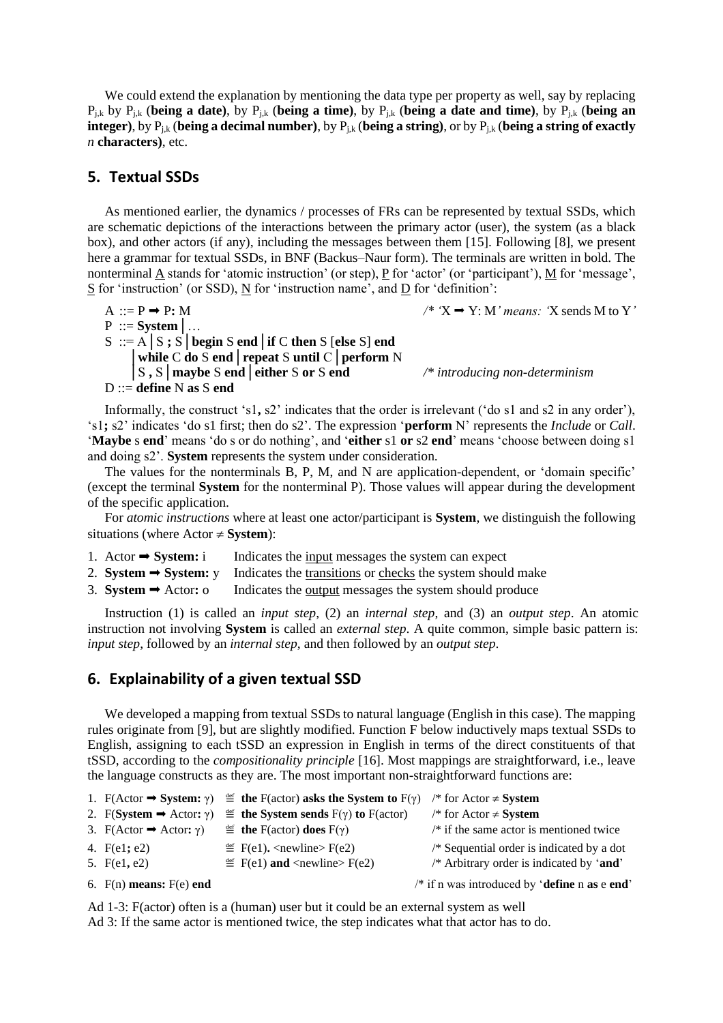We could extend the explanation by mentioning the data type per property as well, say by replacing Pj,k by Pj,k (**being a date)**, by Pj,k (**being a time)**, by Pj,k (**being a date and time)**, by Pj,k (**being an integer)**, by Pj,k (**being a decimal number)**, by Pj,k (**being a string)**, or by Pj,k (**being a string of exactly**  *n* **characters)**, etc.

### **5. Textual SSDs**

As mentioned earlier, the dynamics / processes of FRs can be represented by textual SSDs, which are schematic depictions of the interactions between the primary actor (user), the system (as a black box), and other actors (if any), including the messages between them [15]. Following [8], we present here a grammar for textual SSDs, in BNF (Backus–Naur form). The terminals are written in bold. The nonterminal  $\underline{A}$  stands for 'atomic instruction' (or step),  $\underline{P}$  for 'actor' (or 'participant'),  $\underline{M}$  for 'message', S for 'instruction' (or SSD), N for 'instruction name', and D for 'definition':

A ::= P  $\rightarrow$  P: M P ::= **System**│… S ::= A│S **;** S│**begin** S **end**│**if** C **then** S [**else** S] **end** │**while** C **do** S **end**│**repeat** S **until** C│**perform** N │S **,** S│**maybe** S **end**│**either** S **or** S **end** */\* introducing non-determinism* D ::= **define** N **as** S **end**

Informally, the construct 's1**,** s2' indicates that the order is irrelevant ('do s1 and s2 in any order'), 's1**;** s2' indicates 'do s1 first; then do s2'. The expression '**perform** N' represents the *Include* or *Call*. '**Maybe** s **end**' means 'do s or do nothing', and '**either** s1 **or** s2 **end**' means 'choose between doing s1 and doing s2'. **System** represents the system under consideration.

The values for the nonterminals B, P, M, and N are application-dependent, or 'domain specific' (except the terminal **System** for the nonterminal P). Those values will appear during the development of the specific application.

For *atomic instructions* where at least one actor/participant is **System**, we distinguish the following situations (where  $Actor \neq System$ ):

- 1. Actor  $\rightarrow$  **System:** i Indicates the <u>input</u> messages the system can expect
- 2. **System**  $\rightarrow$  **System:** y Indicates the transitions or checks the system should make
- 3. **System →** Actor: o Indicates the <u>output</u> messages the system should produce

Instruction (1) is called an *input step*, (2) an *internal step*, and (3) an *output step*. An atomic instruction not involving **System** is called an *external step*. A quite common, simple basic pattern is: *input step*, followed by an *internal step*, and then followed by an *output step*.

### **6. Explainability of a given textual SSD**

We developed a mapping from textual SSDs to natural language (English in this case). The mapping rules originate from [9], but are slightly modified. Function F below inductively maps textual SSDs to English, assigning to each tSSD an expression in English in terms of the direct constituents of that tSSD, according to the *compositionality principle* [16]. Most mappings are straightforward, i.e., leave the language constructs as they are. The most important non-straightforward functions are:

|                                             | 1. F(Actor $\rightarrow$ System: $\gamma$ ) $\stackrel{\text{def}}{=}$ the F(actor) asks the System to F( $\gamma$ ) | /* for Actor $\neq$ <b>System</b>           |
|---------------------------------------------|----------------------------------------------------------------------------------------------------------------------|---------------------------------------------|
| 2. F(System $\Rightarrow$ Actor: $\gamma$ ) | $\stackrel{\text{def}}{=}$ the System sends $F(\gamma)$ to $F(\text{actor})$                                         | /* for Actor $\neq$ <b>System</b>           |
| 3. $F(Actor \rightarrow Actor; \gamma)$     | $\stackrel{\text{def}}{=}$ the F(actor) does F(y)                                                                    | $/*$ if the same actor is mentioned twice   |
| 4. F(e1; e2)                                | $\stackrel{\text{def}}{=}$ F(e1). < newline > F(e2)                                                                  | $/*$ Sequential order is indicated by a dot |
| 5. F(e1, e2)                                | $\stackrel{\text{def}}{=}$ F(e1) and <newline> F(e2)</newline>                                                       | /* Arbitrary order is indicated by 'and'    |
|                                             |                                                                                                                      |                                             |

6. F(n) **means:** F(e) **end** /\* if n was introduced by '**define** n **as** e **end**'

Ad 1-3: F(actor) often is a (human) user but it could be an external system as well Ad 3: If the same actor is mentioned twice, the step indicates what that actor has to do.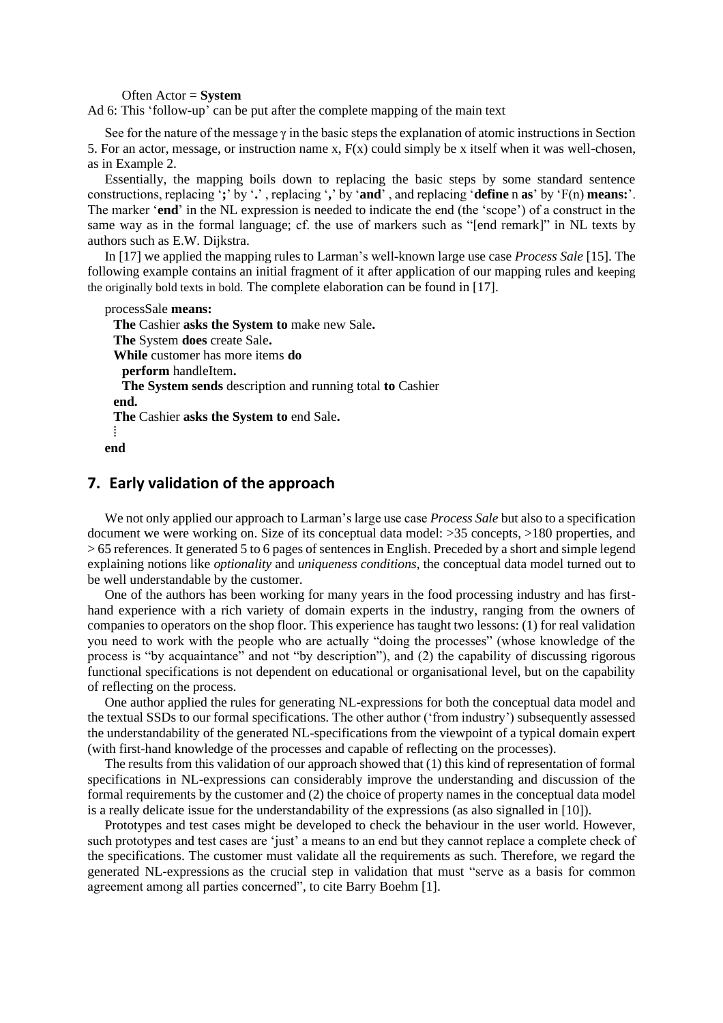Often Actor = **System**

Ad 6: This 'follow-up' can be put after the complete mapping of the main text

See for the nature of the message  $\gamma$  in the basic steps the explanation of atomic instructions in Section 5. For an actor, message, or instruction name x,  $F(x)$  could simply be x itself when it was well-chosen, as in Example 2.

Essentially, the mapping boils down to replacing the basic steps by some standard sentence constructions, replacing '**;**' by '**.**' , replacing '**,**' by '**and**' , and replacing '**define** n **as**' by 'F(n) **means:**'. The marker '**end**' in the NL expression is needed to indicate the end (the 'scope') of a construct in the same way as in the formal language; cf. the use of markers such as "[end remark]" in NL texts by authors such as E.W. Dijkstra.

In [17] we applied the mapping rules to Larman's well-known large use case *Process Sale* [15]. The following example contains an initial fragment of it after application of our mapping rules and keeping the originally bold texts in bold. The complete elaboration can be found in [17].

```
processSale means:
 The Cashier asks the System to make new Sale.
 The System does create Sale.
 While customer has more items do 
   perform handleItem.
   The System sends description and running total to Cashier 
 end.
 The Cashier asks the System to end Sale.
 ⁞
end
```
## **7. Early validation of the approach**

We not only applied our approach to Larman's large use case *Process Sale* but also to a specification document we were working on. Size of its conceptual data model: >35 concepts, >180 properties, and > 65 references. It generated 5 to 6 pages of sentences in English. Preceded by a short and simple legend explaining notions like *optionality* and *uniqueness conditions*, the conceptual data model turned out to be well understandable by the customer.

One of the authors has been working for many years in the food processing industry and has firsthand experience with a rich variety of domain experts in the industry, ranging from the owners of companies to operators on the shop floor. This experience has taught two lessons: (1) for real validation you need to work with the people who are actually "doing the processes" (whose knowledge of the process is "by acquaintance" and not "by description"), and (2) the capability of discussing rigorous functional specifications is not dependent on educational or organisational level, but on the capability of reflecting on the process.

One author applied the rules for generating NL-expressions for both the conceptual data model and the textual SSDs to our formal specifications. The other author ('from industry') subsequently assessed the understandability of the generated NL-specifications from the viewpoint of a typical domain expert (with first-hand knowledge of the processes and capable of reflecting on the processes).

The results from this validation of our approach showed that (1) this kind of representation of formal specifications in NL-expressions can considerably improve the understanding and discussion of the formal requirements by the customer and (2) the choice of property names in the conceptual data model is a really delicate issue for the understandability of the expressions (as also signalled in [10]).

Prototypes and test cases might be developed to check the behaviour in the user world. However, such prototypes and test cases are 'just' a means to an end but they cannot replace a complete check of the specifications. The customer must validate all the requirements as such. Therefore, we regard the generated NL-expressions as the crucial step in validation that must "serve as a basis for common agreement among all parties concerned", to cite Barry Boehm [1].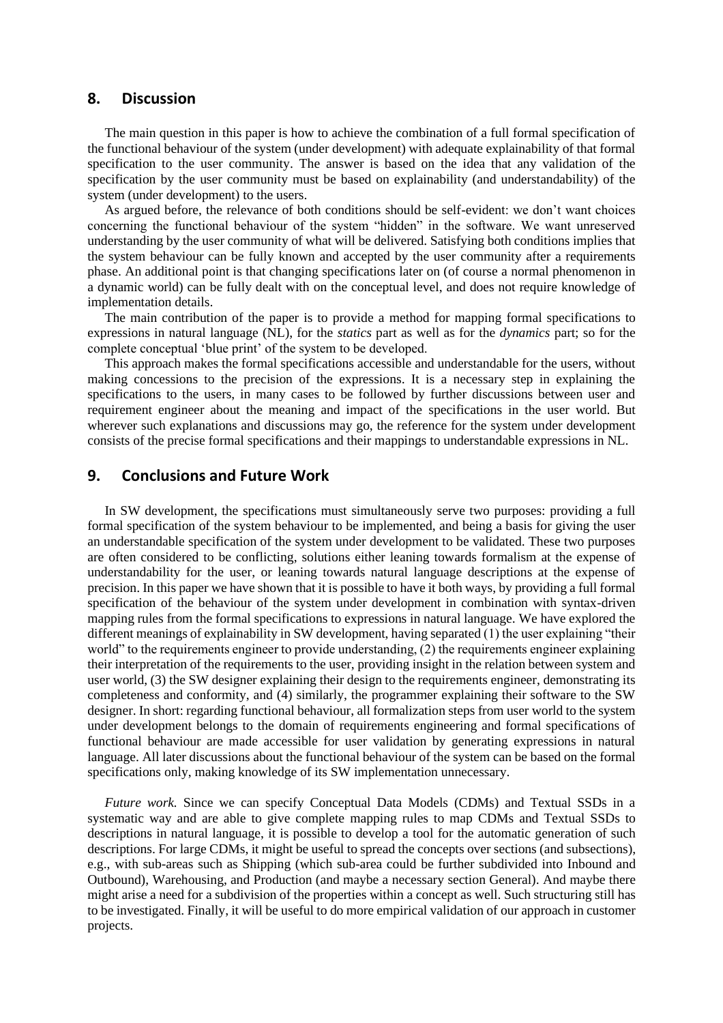### **8. Discussion**

The main question in this paper is how to achieve the combination of a full formal specification of the functional behaviour of the system (under development) with adequate explainability of that formal specification to the user community. The answer is based on the idea that any validation of the specification by the user community must be based on explainability (and understandability) of the system (under development) to the users.

As argued before, the relevance of both conditions should be self-evident: we don't want choices concerning the functional behaviour of the system "hidden" in the software. We want unreserved understanding by the user community of what will be delivered. Satisfying both conditions implies that the system behaviour can be fully known and accepted by the user community after a requirements phase. An additional point is that changing specifications later on (of course a normal phenomenon in a dynamic world) can be fully dealt with on the conceptual level, and does not require knowledge of implementation details.

The main contribution of the paper is to provide a method for mapping formal specifications to expressions in natural language (NL), for the *statics* part as well as for the *dynamics* part; so for the complete conceptual 'blue print' of the system to be developed.

This approach makes the formal specifications accessible and understandable for the users, without making concessions to the precision of the expressions. It is a necessary step in explaining the specifications to the users, in many cases to be followed by further discussions between user and requirement engineer about the meaning and impact of the specifications in the user world. But wherever such explanations and discussions may go, the reference for the system under development consists of the precise formal specifications and their mappings to understandable expressions in NL.

# **9. Conclusions and Future Work**

In SW development, the specifications must simultaneously serve two purposes: providing a full formal specification of the system behaviour to be implemented, and being a basis for giving the user an understandable specification of the system under development to be validated. These two purposes are often considered to be conflicting, solutions either leaning towards formalism at the expense of understandability for the user, or leaning towards natural language descriptions at the expense of precision. In this paper we have shown that it is possible to have it both ways, by providing a full formal specification of the behaviour of the system under development in combination with syntax-driven mapping rules from the formal specifications to expressions in natural language. We have explored the different meanings of explainability in SW development, having separated (1) the user explaining "their world" to the requirements engineer to provide understanding, (2) the requirements engineer explaining their interpretation of the requirements to the user, providing insight in the relation between system and user world, (3) the SW designer explaining their design to the requirements engineer, demonstrating its completeness and conformity, and (4) similarly, the programmer explaining their software to the SW designer. In short: regarding functional behaviour, all formalization steps from user world to the system under development belongs to the domain of requirements engineering and formal specifications of functional behaviour are made accessible for user validation by generating expressions in natural language. All later discussions about the functional behaviour of the system can be based on the formal specifications only, making knowledge of its SW implementation unnecessary.

*Future work.* Since we can specify Conceptual Data Models (CDMs) and Textual SSDs in a systematic way and are able to give complete mapping rules to map CDMs and Textual SSDs to descriptions in natural language, it is possible to develop a tool for the automatic generation of such descriptions. For large CDMs, it might be useful to spread the concepts over sections (and subsections), e.g., with sub-areas such as Shipping (which sub-area could be further subdivided into Inbound and Outbound), Warehousing, and Production (and maybe a necessary section General). And maybe there might arise a need for a subdivision of the properties within a concept as well. Such structuring still has to be investigated. Finally, it will be useful to do more empirical validation of our approach in customer projects.